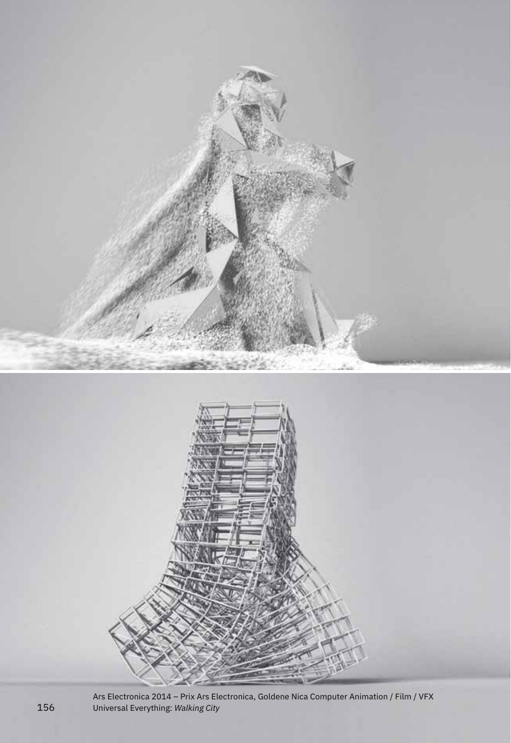

Ars Electronica 2014 – Prix Ars Electronica, Goldene Nica Computer Animation / Film / VFX 156 Universal Everything: *Walking City*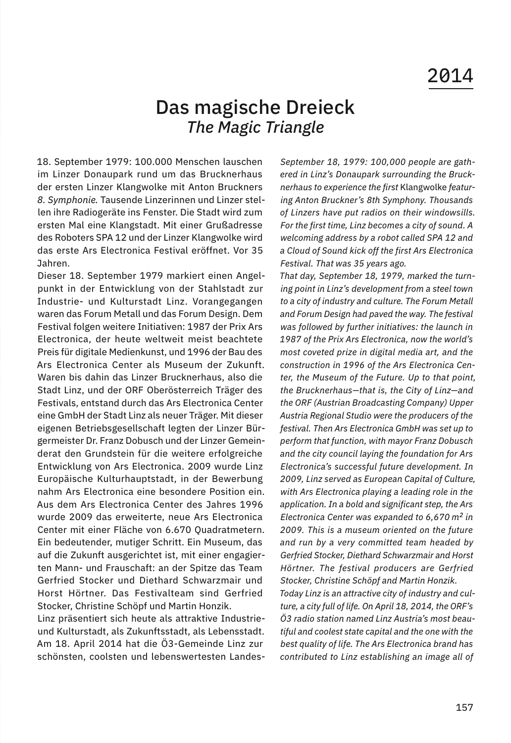## Das magische Dreieck *The Magic Triangle*

18. September 1979: 100.000 Menschen lauschen im Linzer Donaupark rund um das Brucknerhaus der ersten Linzer Klangwolke mit Anton Bruckners *8. Symphonie.* Tausende Linzerinnen und Linzer stellen ihre Radiogeräte ins Fenster. Die Stadt wird zum ersten Mal eine Klangstadt. Mit einer Grußadresse des Roboters SPA 12 und der Linzer Klangwolke wird das erste Ars Electronica Festival eröffnet. Vor 35 Jahren.

Dieser 18. September 1979 markiert einen Angelpunkt in der Entwicklung von der Stahlstadt zur Industrie- und Kulturstadt Linz. Vorangegangen waren das Forum Metall und das Forum Design. Dem Festival folgen weitere Initiativen: 1987 der Prix Ars Electronica, der heute weltweit meist beachtete Preis für digitale Medienkunst, und 1996 der Bau des Ars Electronica Center als Museum der Zukunft. Waren bis dahin das Linzer Brucknerhaus, also die Stadt Linz, und der ORF Oberösterreich Träger des Festivals, entstand durch das Ars Electronica Center eine GmbH der Stadt Linz als neuer Träger. Mit dieser eigenen Betriebsgesellschaft legten der Linzer Bürgermeister Dr. Franz Dobusch und der Linzer Gemeinderat den Grundstein für die weitere erfolgreiche Entwicklung von Ars Electronica. 2009 wurde Linz Europäische Kulturhauptstadt, in der Bewerbung nahm Ars Electronica eine besondere Position ein. Aus dem Ars Electronica Center des Jahres 1996 wurde 2009 das erweiterte, neue Ars Electronica Center mit einer Fläche von 6.670 Quadratmetern. Ein bedeutender, mutiger Schritt. Ein Museum, das auf die Zukunft ausgerichtet ist, mit einer engagierten Mann- und Frauschaft: an der Spitze das Team Gerfried Stocker und Diethard Schwarzmair und Horst Hörtner. Das Festivalteam sind Gerfried Stocker, Christine Schöpf und Martin Honzik.

Linz präsentiert sich heute als attraktive Industrieund Kulturstadt, als Zukunftsstadt, als Lebensstadt. Am 18. April 2014 hat die Ö3-Gemeinde Linz zur schönsten, coolsten und lebenswertesten Landes-

*September 18, 1979: 100,000 people are gathered in Linz's Donaupark surrounding the Brucknerhaus to experience the first* Klangwolke *featuring Anton Bruckner's 8th Symphony. Thousands of Linzers have put radios on their windowsills. For the first time, Linz becomes a city of sound. A welcoming address by a robot called SPA 12 and a Cloud of Sound kick off the first Ars Electronica Festival. That was 35 years ago.*

*That day, September 18, 1979, marked the turning point in Linz's development from a steel town to a city of industry and culture. The Forum Metall and Forum Design had paved the way. The festival was followed by further initiatives: the launch in 1987 of the Prix Ars Electronica, now the world's most coveted prize in digital media art, and the construction in 1996 of the Ars Electronica Center, the Museum of the Future. Up to that point, the Brucknerhaus—that is, the City of Linz—and the ORF (Austrian Broadcasting Company) Upper Austria Regional Studio were the producers of the festival. Then Ars Electronica GmbH was set up to perform that function, with mayor Franz Dobusch and the city council laying the foundation for Ars Electronica's successful future development. In 2009, Linz served as European Capital of Culture, with Ars Electronica playing a leading role in the application. In a bold and significant step, the Ars Electronica Center was expanded to 6,670 m2 in 2009. This is a museum oriented on the future and run by a very committed team headed by Gerfried Stocker, Diethard Schwarzmair and Horst Hörtner. The festival producers are Gerfried Stocker, Christine Schöpf and Martin Honzik. Today Linz is an attractive city of industry and culture, a city full of life. On April 18, 2014, the ORF's Ö3 radio station named Linz Austria's most beautiful and coolest state capital and the one with the best quality of life. The Ars Electronica brand has contributed to Linz establishing an image all of*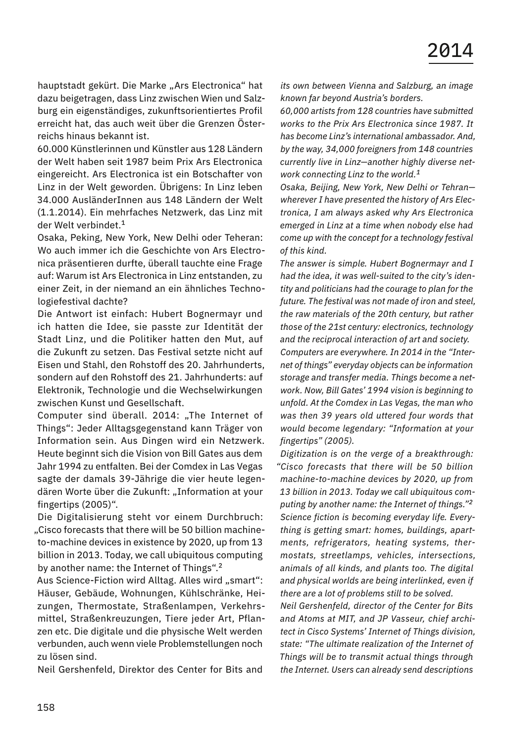hauptstadt gekürt. Die Marke "Ars Electronica" hat dazu beigetragen, dass Linz zwischen Wien und Salzburg ein eigenständiges, zukunftsorientiertes Profil erreicht hat, das auch weit über die Grenzen Österreichs hinaus bekannt ist.

60.000 Künstlerinnen und Künstler aus 128 Ländern der Welt haben seit 1987 beim Prix Ars Electronica eingereicht. Ars Electronica ist ein Botschafter von Linz in der Welt geworden. Übrigens: In Linz leben 34.000 AusländerInnen aus 148 Ländern der Welt (1.1.2014). Ein mehrfaches Netzwerk, das Linz mit der Welt verbindet.<sup>1</sup>

Osaka, Peking, New York, New Delhi oder Teheran: Wo auch immer ich die Geschichte von Ars Electronica präsentieren durfte, überall tauchte eine Frage auf: Warum ist Ars Electronica in Linz entstanden, zu einer Zeit, in der niemand an ein ähnliches Technologiefestival dachte?

Die Antwort ist einfach: Hubert Bognermayr und ich hatten die Idee, sie passte zur Identität der Stadt Linz, und die Politiker hatten den Mut, auf die Zukunft zu setzen. Das Festival setzte nicht auf Eisen und Stahl, den Rohstoff des 20. Jahrhunderts, sondern auf den Rohstoff des 21. Jahrhunderts: auf Elektronik, Technologie und die Wechselwirkungen zwischen Kunst und Gesellschaft.

Computer sind überall. 2014: "The Internet of Things": Jeder Alltagsgegenstand kann Träger von Information sein. Aus Dingen wird ein Netzwerk. Heute beginnt sich die Vision von Bill Gates aus dem Jahr 1994 zu entfalten. Bei der Comdex in Las Vegas sagte der damals 39-Jährige die vier heute legendären Worte über die Zukunft: "Information at your fingertips (2005)".

Die Digitalisierung steht vor einem Durchbruch: "Cisco forecasts that there will be 50 billion machineto-machine devices in existence by 2020, up from 13 billion in 2013. Today, we call ubiquitous computing by another name: the Internet of Things".<sup>2</sup>

Aus Science-Fiction wird Alltag. Alles wird "smart": Häuser, Gebäude, Wohnungen, Kühlschränke, Heizungen, Thermostate, Straßenlampen, Verkehrsmittel, Straßenkreuzungen, Tiere jeder Art, Pflanzen etc. Die digitale und die physische Welt werden verbunden, auch wenn viele Problemstellungen noch zu lösen sind.

Neil Gershenfeld, Direktor des Center for Bits and

*its own between Vienna and Salzburg, an image known far beyond Austria's borders.*

*60,000 artists from 128 countries have submitted works to the Prix Ars Electronica since 1987. It has become Linz's international ambassador. And, by the way, 34,000 foreigners from 148 countries currently live in Linz—another highly diverse network connecting Linz to the world.<sup>1</sup>*

*Osaka, Beijing, New York, New Delhi or Tehran wherever I have presented the history of Ars Electronica, I am always asked why Ars Electronica emerged in Linz at a time when nobody else had come up with the concept for a technology festival of this kind.*

*The answer is simple. Hubert Bognermayr and I had the idea, it was well-suited to the city's identity and politicians had the courage to plan for the future. The festival was not made of iron and steel, the raw materials of the 20th century, but rather those of the 21st century: electronics, technology and the reciprocal interaction of art and society. Computers are everywhere. In 2014 in the "Internet of things" everyday objects can be information storage and transfer media. Things become a network. Now, Bill Gates' 1994 vision is beginning to unfold. At the Comdex in Las Vegas, the man who was then 39 years old uttered four words that would become legendary: "Information at your fingertips" (2005).*

*Digitization is on the verge of a breakthrough: "Cisco forecasts that there will be 50 billion machine-to-machine devices by 2020, up from 13 billion in 2013. Today we call ubiquitous computing by another name: the Internet of things."<sup>2</sup> Science fiction is becoming everyday life. Everything is getting smart: homes, buildings, apartments, refrigerators, heating systems, thermostats, streetlamps, vehicles, intersections, animals of all kinds, and plants too. The digital and physical worlds are being interlinked, even if there are a lot of problems still to be solved.*

*Neil Gershenfeld, director of the Center for Bits and Atoms at MIT, and JP Vasseur, chief architect in Cisco Systems' Internet of Things division, state: "The ultimate realization of the Internet of Things will be to transmit actual things through the Internet. Users can already send descriptions*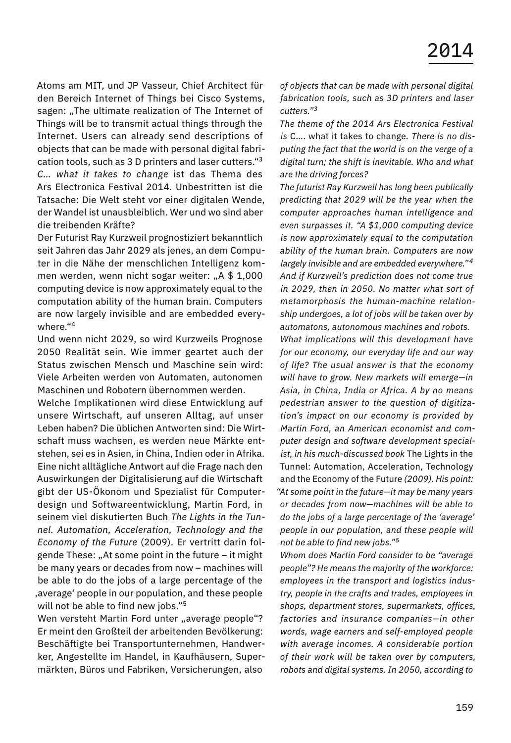Atoms am MIT, und JP Vasseur, Chief Architect für den Bereich Internet of Things bei Cisco Systems, sagen: "The ultimate realization of The Internet of Things will be to transmit actual things through the Internet. Users can already send descriptions of objects that can be made with personal digital fabrication tools, such as 3 D printers and laser cutters."<sup>3</sup> *C… what it takes to change* ist das Thema des Ars Electronica Festival 2014*.* Unbestritten ist die Tatsache: Die Welt steht vor einer digitalen Wende, der Wandel ist unausbleiblich. Wer und wo sind aber die treibenden Kräfte?

Der Futurist Ray Kurzweil prognostiziert bekanntlich seit Jahren das Jahr 2029 als jenes, an dem Computer in die Nähe der menschlichen Intelligenz kommen werden, wenn nicht sogar weiter: "A \$ 1,000 computing device is now approximately equal to the computation ability of the human brain. Computers are now largely invisible and are embedded everywhere."<sup>4</sup>

Und wenn nicht 2029, so wird Kurzweils Prognose 2050 Realität sein. Wie immer geartet auch der Status zwischen Mensch und Maschine sein wird: Viele Arbeiten werden von Automaten, autonomen Maschinen und Robotern übernommen werden.

Welche Implikationen wird diese Entwicklung auf unsere Wirtschaft, auf unseren Alltag, auf unser Leben haben? Die üblichen Antworten sind: Die Wirtschaft muss wachsen, es werden neue Märkte entstehen, sei es in Asien, in China, Indien oder in Afrika. Eine nicht alltägliche Antwort auf die Frage nach den Auswirkungen der Digitalisierung auf die Wirtschaft gibt der US-Ökonom und Spezialist für Computerdesign und Softwareentwicklung, Martin Ford, in seinem viel diskutierten Buch *The Lights in the Tunnel. Automation, Acceleration, Technology and the Economy of the Future* (2009). Er vertritt darin folgende These: "At some point in the future – it might be many years or decades from now – machines will be able to do the jobs of a large percentage of the average' people in our population, and these people will not be able to find new jobs."<sup>5</sup>

Wen versteht Martin Ford unter "average people"? Er meint den Großteil der arbeitenden Bevölkerung: Beschäftigte bei Transportunternehmen, Handwerker, Angestellte im Handel, in Kaufhäusern, Supermärkten, Büros und Fabriken, Versicherungen, also

*of objects that can be made with personal digital fabrication tools, such as 3D printers and laser cutters."<sup>3</sup>*

*The theme of the 2014 Ars Electronica Festival is* C…. what it takes to change*. There is no disputing the fact that the world is on the verge of a digital turn; the shift is inevitable. Who and what are the driving forces?*

*The futurist Ray Kurzweil has long been publically predicting that 2029 will be the year when the computer approaches human intelligence and even surpasses it. "A \$1,000 computing device is now approximately equal to the computation ability of the human brain. Computers are now largely invisible and are embedded everywhere."<sup>4</sup> And if Kurzweil's prediction does not come true in 2029, then in 2050. No matter what sort of metamorphosis the human-machine relationship undergoes, a lot of jobs will be taken over by automatons, autonomous machines and robots. What implications will this development have for our economy, our everyday life and our way of life? The usual answer is that the economy will have to grow. New markets will emerge—in Asia, in China, India or Africa. A by no means pedestrian answer to the question of digitization's impact on our economy is provided by Martin Ford, an American economist and computer design and software development specialist, in his much-discussed book* The Lights in the Tunnel: Automation, Acceleration, Technology and the Economy of the Future *(2009). His point: "At some point in the future—it may be many years or decades from now—machines will be able to do the jobs of a large percentage of the 'average' people in our population, and these people will not be able to find new jobs."<sup>5</sup>*

*Whom does Martin Ford consider to be "average people"? He means the majority of the workforce: employees in the transport and logistics industry, people in the crafts and trades, employees in shops, department stores, supermarkets, offices, factories and insurance companies—in other words, wage earners and self-employed people with average incomes. A considerable portion of their work will be taken over by computers, robots and digital systems. In 2050, according to*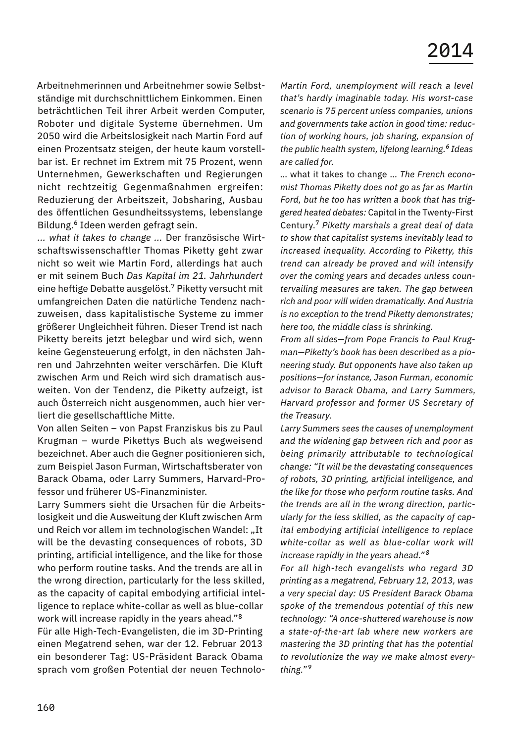Arbeitnehmerinnen und Arbeitnehmer sowie Selbstständige mit durchschnittlichem Einkommen. Einen beträchtlichen Teil ihrer Arbeit werden Computer, Roboter und digitale Systeme übernehmen. Um 2050 wird die Arbeitslosigkeit nach Martin Ford auf einen Prozentsatz steigen, der heute kaum vorstellbar ist. Er rechnet im Extrem mit 75 Prozent, wenn Unternehmen, Gewerkschaften und Regierungen nicht rechtzeitig Gegenmaßnahmen ergreifen: Reduzierung der Arbeitszeit, Jobsharing, Ausbau des öffentlichen Gesundheitssystems, lebenslange Bildung.<sup>6</sup> Ideen werden gefragt sein.

*... what it takes to change ...* Der französische Wirtschaftswissenschaftler Thomas Piketty geht zwar nicht so weit wie Martin Ford, allerdings hat auch er mit seinem Buch *Das Kapital im 21. Jahrhundert*  eine heftige Debatte ausgelöst.<sup>7</sup> Piketty versucht mit umfangreichen Daten die natürliche Tendenz nachzuweisen, dass kapitalistische Systeme zu immer größerer Ungleichheit führen. Dieser Trend ist nach Piketty bereits jetzt belegbar und wird sich, wenn keine Gegensteuerung erfolgt, in den nächsten Jahren und Jahrzehnten weiter verschärfen. Die Kluft zwischen Arm und Reich wird sich dramatisch ausweiten. Von der Tendenz, die Piketty aufzeigt, ist auch Österreich nicht ausgenommen, auch hier verliert die gesellschaftliche Mitte.

Von allen Seiten – von Papst Franziskus bis zu Paul Krugman – wurde Pikettys Buch als wegweisend bezeichnet. Aber auch die Gegner positionieren sich, zum Beispiel Jason Furman, Wirtschaftsberater von Barack Obama, oder Larry Summers, Harvard-Professor und früherer US-Finanzminister.

Larry Summers sieht die Ursachen für die Arbeitslosigkeit und die Ausweitung der Kluft zwischen Arm und Reich vor allem im technologischen Wandel: "It will be the devasting consequences of robots, 3D printing, artificial intelligence, and the like for those who perform routine tasks. And the trends are all in the wrong direction, particularly for the less skilled, as the capacity of capital embodying artificial intelligence to replace white-collar as well as blue-collar work will increase rapidly in the years ahead."<sup>8</sup>

Für alle High-Tech-Evangelisten, die im 3D-Printing einen Megatrend sehen, war der 12. Februar 2013 ein besonderer Tag: US-Präsident Barack Obama sprach vom großen Potential der neuen Technolo-

*Martin Ford, unemployment will reach a level that's hardly imaginable today. His worst-case scenario is 75 percent unless companies, unions and governments take action in good time: reduction of working hours, job sharing, expansion of the public health system, lifelong learning.6 Ideas are called for.*

 … what it takes to change … *The French economist Thomas Piketty does not go as far as Martin Ford, but he too has written a book that has triggered heated debates:* Capital in the Twenty-First Century.7 *Piketty marshals a great deal of data to show that capitalist systems inevitably lead to increased inequality. According to Piketty, this trend can already be proved and will intensify over the coming years and decades unless countervailing measures are taken. The gap between rich and poor will widen dramatically. And Austria is no exception to the trend Piketty demonstrates; here too, the middle class is shrinking.*

*From all sides—from Pope Francis to Paul Krugman—Piketty's book has been described as a pioneering study. But opponents have also taken up positions—for instance, Jason Furman, economic advisor to Barack Obama, and Larry Summers, Harvard professor and former US Secretary of the Treasury.*

*Larry Summers sees the causes of unemployment and the widening gap between rich and poor as being primarily attributable to technological change: "It will be the devastating consequences of robots, 3D printing, artificial intelligence, and the like for those who perform routine tasks. And the trends are all in the wrong direction, particularly for the less skilled, as the capacity of capital embodying artificial intelligence to replace white-collar as well as blue-collar work will increase rapidly in the years ahead." <sup>8</sup>*

*For all high-tech evangelists who regard 3D printing as a megatrend, February 12, 2013, was a very special day: US President Barack Obama spoke of the tremendous potential of this new technology: "A once-shuttered warehouse is now a state-of-the-art lab where new workers are mastering the 3D printing that has the potential to revolutionize the way we make almost everything." <sup>9</sup>*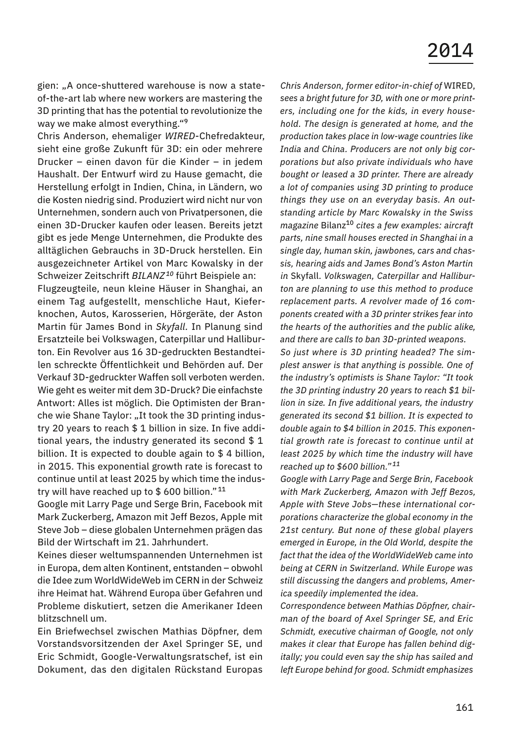gien: "A once-shuttered warehouse is now a stateof-the-art lab where new workers are mastering the 3D printing that has the potential to revolutionize the way we make almost everything."<sup>9</sup>

Chris Anderson, ehemaliger *WIRED*-Chefredakteur, sieht eine große Zukunft für 3D: ein oder mehrere Drucker – einen davon für die Kinder – in jedem Haushalt. Der Entwurf wird zu Hause gemacht, die Herstellung erfolgt in Indien, China, in Ländern, wo die Kosten niedrig sind. Produziert wird nicht nur von Unternehmen, sondern auch von Privatpersonen, die einen 3D-Drucker kaufen oder leasen. Bereits jetzt gibt es jede Menge Unternehmen, die Produkte des alltäglichen Gebrauchs in 3D-Druck herstellen. Ein ausgezeichneter Artikel von Marc Kowalsky in der Schweizer Zeitschrift *BILANZ <sup>10</sup>* führt Beispiele an:

Flugzeugteile, neun kleine Häuser in Shanghai, an einem Tag aufgestellt, menschliche Haut, Kieferknochen, Autos, Karosserien, Hörgeräte, der Aston Martin für James Bond in *Skyfall.* In Planung sind Ersatzteile bei Volkswagen, Caterpillar und Halliburton. Ein Revolver aus 16 3D-gedruckten Bestandteilen schreckte Öffentlichkeit und Behörden auf. Der Verkauf 3D-gedruckter Waffen soll verboten werden. Wie geht es weiter mit dem 3D-Druck? Die einfachste Antwort: Alles ist möglich. Die Optimisten der Branche wie Shane Taylor: "It took the 3D printing industry 20 years to reach \$ 1 billion in size. In five additional years, the industry generated its second \$ 1 billion. It is expected to double again to \$ 4 billion, in 2015. This exponential growth rate is forecast to continue until at least 2025 by which time the industry will have reached up to \$ 600 billion." <sup>11</sup>

Google mit Larry Page und Serge Brin, Facebook mit Mark Zuckerberg, Amazon mit Jeff Bezos, Apple mit Steve Job – diese globalen Unternehmen prägen das Bild der Wirtschaft im 21. Jahrhundert.

Keines dieser weltumspannenden Unternehmen ist in Europa, dem alten Kontinent, entstanden – obwohl die Idee zum WorldWideWeb im CERN in der Schweiz ihre Heimat hat. Während Europa über Gefahren und Probleme diskutiert, setzen die Amerikaner Ideen blitzschnell um.

Ein Briefwechsel zwischen Mathias Döpfner, dem Vorstandsvorsitzenden der Axel Springer SE, und Eric Schmidt, Google-Verwaltungsratschef, ist ein Dokument, das den digitalen Rückstand Europas

*Chris Anderson, former editor-in-chief of* WIRED, *sees a bright future for 3D, with one or more printers, including one for the kids, in every household. The design is generated at home, and the production takes place in low-wage countries like India and China. Producers are not only big corporations but also private individuals who have bought or leased a 3D printer. There are already a lot of companies using 3D printing to produce things they use on an everyday basis. An outstanding article by Marc Kowalsky in the Swiss magazine* Bilanz10 *cites a few examples: aircraft parts, nine small houses erected in Shanghai in a single day, human skin, jawbones, cars and chassis, hearing aids and James Bond's Aston Martin in* Skyfall. *Volkswagen, Caterpillar and Halliburton are planning to use this method to produce replacement parts. A revolver made of 16 components created with a 3D printer strikes fear into the hearts of the authorities and the public alike, and there are calls to ban 3D-printed weapons. So just where is 3D printing headed? The simplest answer is that anything is possible. One of the industry's optimists is Shane Taylor: "It took* 

*the 3D printing industry 20 years to reach \$1 billion in size. In five additional years, the industry generated its second \$1 billion. It is expected to double again to \$4 billion in 2015. This exponential growth rate is forecast to continue until at least 2025 by which time the industry will have reached up to \$600 billion." <sup>11</sup>*

*Google with Larry Page and Serge Brin, Facebook with Mark Zuckerberg, Amazon with Jeff Bezos, Apple with Steve Jobs—these international corporations characterize the global economy in the 21st century. But none of these global players emerged in Europe, in the Old World, despite the fact that the idea of the WorldWideWeb came into being at CERN in Switzerland. While Europe was still discussing the dangers and problems, America speedily implemented the idea.*

*Correspondence between Mathias Döpfner, chairman of the board of Axel Springer SE, and Eric Schmidt, executive chairman of Google, not only makes it clear that Europe has fallen behind digitally; you could even say the ship has sailed and left Europe behind for good. Schmidt emphasizes*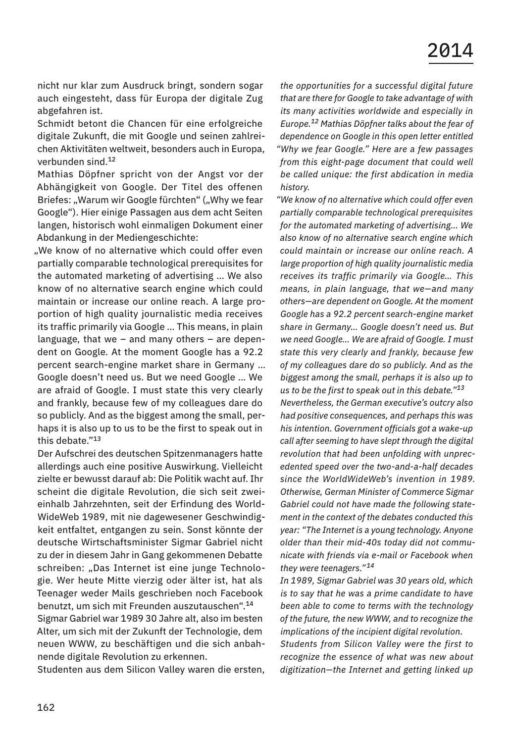nicht nur klar zum Ausdruck bringt, sondern sogar auch eingesteht, dass für Europa der digitale Zug abgefahren ist.

Schmidt betont die Chancen für eine erfolgreiche digitale Zukunft, die mit Google und seinen zahlreichen Aktivitäten weltweit, besonders auch in Europa, verbunden sind.<sup>12</sup>

Mathias Döpfner spricht von der Angst vor der Abhängigkeit von Google. Der Titel des offenen Briefes: "Warum wir Google fürchten" ("Why we fear Google"). Hier einige Passagen aus dem acht Seiten langen, historisch wohl einmaligen Dokument einer Abdankung in der Mediengeschichte:

.We know of no alternative which could offer even partially comparable technological prerequisites for the automated marketing of advertising … We also know of no alternative search engine which could maintain or increase our online reach. A large proportion of high quality journalistic media receives its traffic primarily via Google … This means, in plain language, that we – and many others – are dependent on Google. At the moment Google has a 92.2 percent search-engine market share in Germany … Google doesn't need us. But we need Google … We are afraid of Google. I must state this very clearly and frankly, because few of my colleagues dare do so publicly. And as the biggest among the small, perhaps it is also up to us to be the first to speak out in this debate."<sup>13</sup>

Der Aufschrei des deutschen Spitzenmanagers hatte allerdings auch eine positive Auswirkung. Vielleicht zielte er bewusst darauf ab: Die Politik wacht auf. Ihr scheint die digitale Revolution, die sich seit zweieinhalb Jahrzehnten, seit der Erfindung des World-WideWeb 1989, mit nie dagewesener Geschwindigkeit entfaltet, entgangen zu sein. Sonst könnte der deutsche Wirtschaftsminister Sigmar Gabriel nicht zu der in diesem Jahr in Gang gekommenen Debatte schreiben: "Das Internet ist eine junge Technologie. Wer heute Mitte vierzig oder älter ist, hat als Teenager weder Mails geschrieben noch Facebook benutzt, um sich mit Freunden auszutauschen".<sup>14</sup>

Sigmar Gabriel war 1989 30 Jahre alt, also im besten Alter, um sich mit der Zukunft der Technologie, dem neuen WWW, zu beschäftigen und die sich anbahnende digitale Revolution zu erkennen.

Studenten aus dem Silicon Valley waren die ersten,

*the opportunities for a successful digital future that are there for Google to take advantage of with its many activities worldwide and especially in Europe.12 Mathias Döpfner talks about the fear of dependence on Google in this open letter entitled "Why we fear Google." Here are a few passages from this eight-page document that could well be called unique: the first abdication in media history.*

*"We know of no alternative which could offer even partially comparable technological prerequisites for the automated marketing of advertising… We also know of no alternative search engine which could maintain or increase our online reach. A large proportion of high quality journalistic media receives its traffic primarily via Google… This means, in plain language, that we—and many others—are dependent on Google. At the moment Google has a 92.2 percent search-engine market share in Germany… Google doesn't need us. But we need Google… We are afraid of Google. I must state this very clearly and frankly, because few of my colleagues dare do so publicly. And as the biggest among the small, perhaps it is also up to us to be the first to speak out in this debate."<sup>13</sup> Nevertheless, the German executive's outcry also had positive consequences, and perhaps this was his intention. Government officials got a wake-up call after seeming to have slept through the digital revolution that had been unfolding with unprecedented speed over the two-and-a-half decades since the WorldWideWeb's invention in 1989. Otherwise, German Minister of Commerce Sigmar Gabriel could not have made the following statement in the context of the debates conducted this year: "The Internet is a young technology. Anyone older than their mid-40s today did not communicate with friends via e-mail or Facebook when they were teenagers." <sup>14</sup>*

*In 1989, Sigmar Gabriel was 30 years old, which is to say that he was a prime candidate to have been able to come to terms with the technology of the future, the new WWW, and to recognize the implications of the incipient digital revolution.*

*Students from Silicon Valley were the first to recognize the essence of what was new about digitization—the Internet and getting linked up*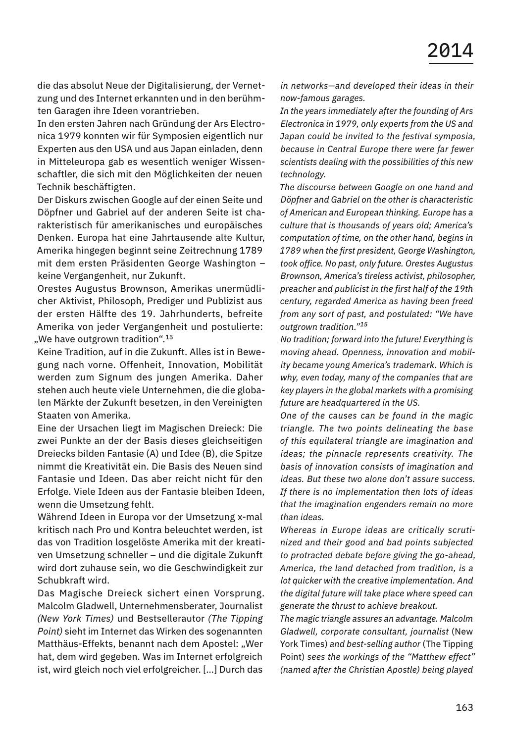die das absolut Neue der Digitalisierung, der Vernetzung und des Internet erkannten und in den berühmten Garagen ihre Ideen vorantrieben.

In den ersten Jahren nach Gründung der Ars Electronica 1979 konnten wir für Symposien eigentlich nur Experten aus den USA und aus Japan einladen, denn in Mitteleuropa gab es wesentlich weniger Wissenschaftler, die sich mit den Möglichkeiten der neuen Technik beschäftigten.

Der Diskurs zwischen Google auf der einen Seite und Döpfner und Gabriel auf der anderen Seite ist charakteristisch für amerikanisches und europäisches Denken. Europa hat eine Jahrtausende alte Kultur, Amerika hingegen beginnt seine Zeitrechnung 1789 mit dem ersten Präsidenten George Washington – keine Vergangenheit, nur Zukunft.

Orestes Augustus Brownson, Amerikas unermüdlicher Aktivist, Philosoph, Prediger und Publizist aus der ersten Hälfte des 19. Jahrhunderts, befreite Amerika von jeder Vergangenheit und postulierte: "We have outgrown tradition".<sup>15</sup>

Keine Tradition, auf in die Zukunft. Alles ist in Bewegung nach vorne. Offenheit, Innovation, Mobilität werden zum Signum des jungen Amerika. Daher stehen auch heute viele Unternehmen, die die globalen Märkte der Zukunft besetzen, in den Vereinigten Staaten von Amerika.

Eine der Ursachen liegt im Magischen Dreieck: Die zwei Punkte an der der Basis dieses gleichseitigen Dreiecks bilden Fantasie (A) und Idee (B), die Spitze nimmt die Kreativität ein. Die Basis des Neuen sind Fantasie und Ideen. Das aber reicht nicht für den Erfolge. Viele Ideen aus der Fantasie bleiben Ideen, wenn die Umsetzung fehlt.

Während Ideen in Europa vor der Umsetzung x-mal kritisch nach Pro und Kontra beleuchtet werden, ist das von Tradition losgelöste Amerika mit der kreativen Umsetzung schneller – und die digitale Zukunft wird dort zuhause sein, wo die Geschwindigkeit zur Schubkraft wird.

Das Magische Dreieck sichert einen Vorsprung. Malcolm Gladwell, Unternehmensberater, Journalist *(New York Times)* und Bestsellerautor *(The Tipping Point)* sieht im Internet das Wirken des sogenannten Matthäus-Effekts, benannt nach dem Apostel: "Wer hat, dem wird gegeben. Was im Internet erfolgreich ist, wird gleich noch viel erfolgreicher. […] Durch das

*in networks—and developed their ideas in their now-famous garages.*

*In the years immediately after the founding of Ars Electronica in 1979, only experts from the US and Japan could be invited to the festival symposia, because in Central Europe there were far fewer scientists dealing with the possibilities of this new technology.*

*The discourse between Google on one hand and Döpfner and Gabriel on the other is characteristic of American and European thinking. Europe has a culture that is thousands of years old; America's computation of time, on the other hand, begins in 1789 when the first president, George Washington, took office. No past, only future. Orestes Augustus Brownson, America's tireless activist, philosopher, preacher and publicist in the first half of the 19th century, regarded America as having been freed from any sort of past, and postulated: "We have outgrown tradition."<sup>15</sup>*

*No tradition; forward into the future! Everything is moving ahead. Openness, innovation and mobility became young America's trademark. Which is why, even today, many of the companies that are key players in the global markets with a promising future are headquartered in the US.*

*One of the causes can be found in the magic triangle. The two points delineating the base of this equilateral triangle are imagination and ideas; the pinnacle represents creativity. The basis of innovation consists of imagination and ideas. But these two alone don't assure success. If there is no implementation then lots of ideas that the imagination engenders remain no more than ideas.*

*Whereas in Europe ideas are critically scrutinized and their good and bad points subjected to protracted debate before giving the go-ahead, America, the land detached from tradition, is a lot quicker with the creative implementation. And the digital future will take place where speed can generate the thrust to achieve breakout.*

*The magic triangle assures an advantage. Malcolm Gladwell, corporate consultant, journalist* (New York Times) *and best-selling author* (The Tipping Point) *sees the workings of the "Matthew effect" (named after the Christian Apostle) being played*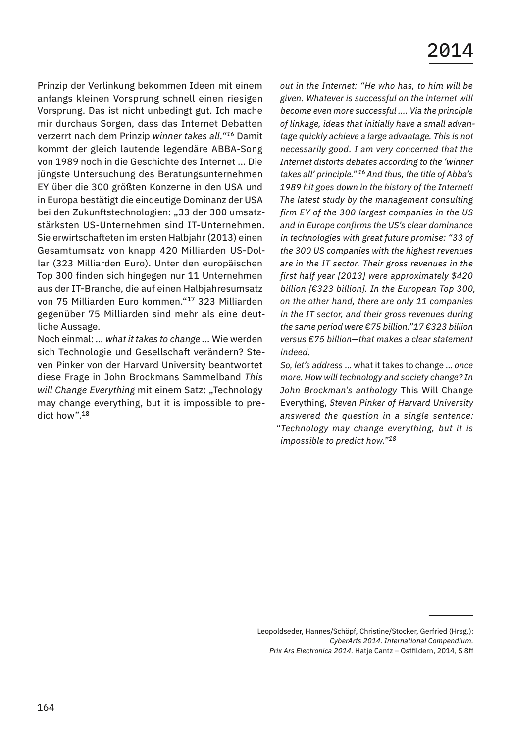Prinzip der Verlinkung bekommen Ideen mit einem anfangs kleinen Vorsprung schnell einen riesigen Vorsprung. Das ist nicht unbedingt gut. Ich mache mir durchaus Sorgen, dass das Internet Debatten verzerrt nach dem Prinzip *winner takes all."<sup>16</sup>* Damit kommt der gleich lautende legendäre ABBA-Song von 1989 noch in die Geschichte des Internet ... Die jüngste Untersuchung des Beratungsunternehmen EY über die 300 größten Konzerne in den USA und in Europa bestätigt die eindeutige Dominanz der USA bei den Zukunftstechnologien: "33 der 300 umsatzstärksten US-Unternehmen sind IT-Unternehmen. Sie erwirtschafteten im ersten Halbjahr (2013) einen Gesamtumsatz von knapp 420 Milliarden US-Dollar (323 Milliarden Euro). Unter den europäischen Top 300 finden sich hingegen nur 11 Unternehmen aus der IT-Branche, die auf einen Halbjahresumsatz von 75 Milliarden Euro kommen."<sup>17</sup> 323 Milliarden gegenüber 75 Milliarden sind mehr als eine deutliche Aussage.

Noch einmal: *… what it takes to change ...* Wie werden sich Technologie und Gesellschaft verändern? Steven Pinker von der Harvard University beantwortet diese Frage in John Brockmans Sammelband *This will Change Everything* mit einem Satz: "Technology may change everything, but it is impossible to predict how".<sup>18</sup>

*out in the Internet: "He who has, to him will be given. Whatever is successful on the internet will become even more successful .… Via the principle of linkage, ideas that initially have a small advantage quickly achieve a large advantage. This is not necessarily good. I am very concerned that the Internet distorts debates according to the 'winner takes all' principle."16 And thus, the title of Abba's 1989 hit goes down in the history of the Internet! The latest study by the management consulting firm EY of the 300 largest companies in the US and in Europe confirms the US's clear dominance in technologies with great future promise: "33 of the 300 US companies with the highest revenues are in the IT sector. Their gross revenues in the first half year [2013] were approximately \$420 billion [€323 billion]. In the European Top 300, on the other hand, there are only 11 companies in the IT sector, and their gross revenues during the same period were €75 billion."17 €323 billion versus €75 billion—that makes a clear statement indeed.*

*So, let's address* … what it takes to change … *once more. How will technology and society change? In John Brockman's anthology* This Will Change Everything, *Steven Pinker of Harvard University answered the question in a single sentence: "Technology may change everything, but it is impossible to predict how."<sup>18</sup>*

Leopoldseder, Hannes/Schöpf, Christine/Stocker, Gerfried (Hrsg.): *CyberArts 2014. International Compendium. Prix Ars Electronica 2014.* Hatje Cantz – Ostfildern, 2014, S 8ff